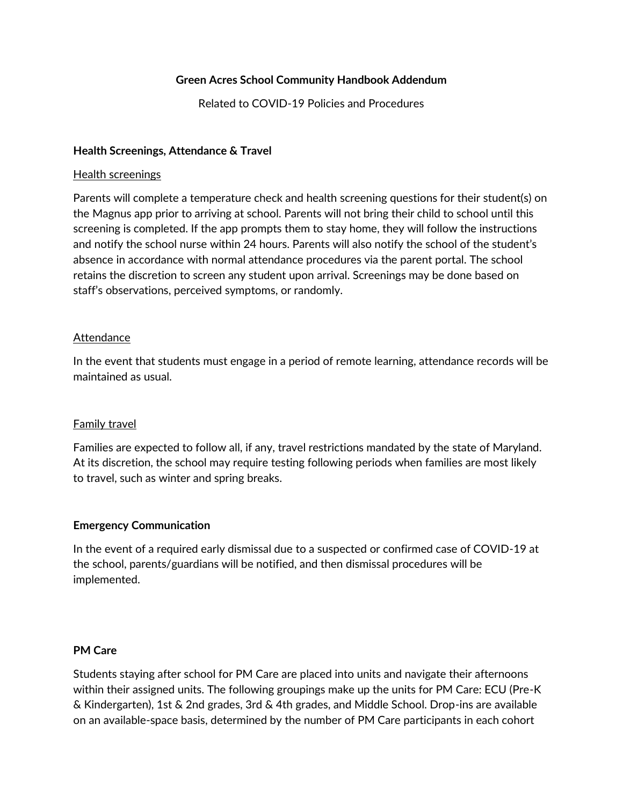#### **Green Acres School Community Handbook Addendum**

Related to COVID-19 Policies and Procedures

### **Health Screenings, Attendance & Travel**

#### Health screenings

Parents will complete a temperature check and health screening questions for their student(s) on the Magnus app prior to arriving at school. Parents will not bring their child to school until this screening is completed. If the app prompts them to stay home, they will follow the instructions and notify the school nurse within 24 hours. Parents will also notify the school of the student's absence in accordance with normal attendance procedures via the parent portal. The school retains the discretion to screen any student upon arrival. Screenings may be done based on staff's observations, perceived symptoms, or randomly.

#### Attendance

In the event that students must engage in a period of remote learning, attendance records will be maintained as usual.

#### Family travel

Families are expected to follow all, if any, travel restrictions mandated by the state of Maryland. At its discretion, the school may require testing following periods when families are most likely to travel, such as winter and spring breaks.

#### **Emergency Communication**

In the event of a required early dismissal due to a suspected or confirmed case of COVID-19 at the school, parents/guardians will be notified, and then dismissal procedures will be implemented.

#### **PM Care**

Students staying after school for PM Care are placed into units and navigate their afternoons within their assigned units. The following groupings make up the units for PM Care: ECU (Pre-K & Kindergarten), 1st & 2nd grades, 3rd & 4th grades, and Middle School. Drop-ins are available on an available-space basis, determined by the number of PM Care participants in each cohort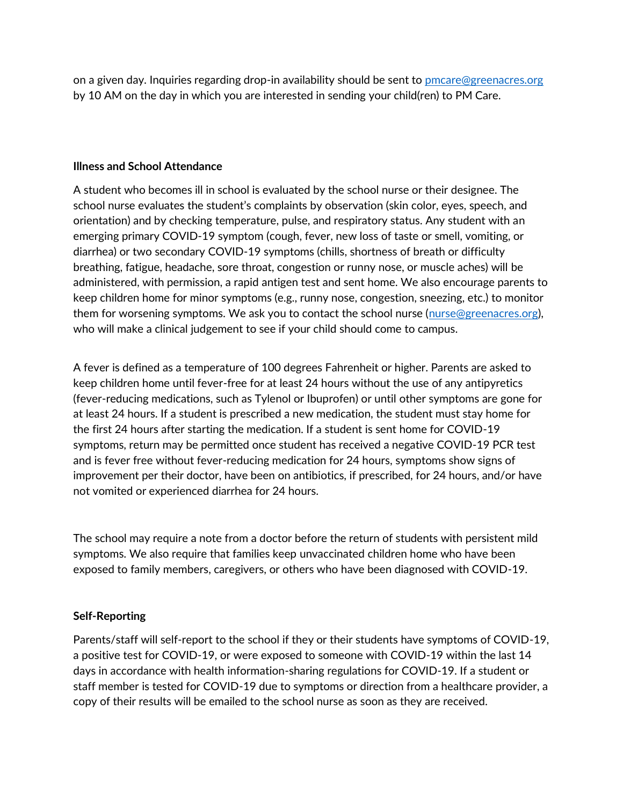on a given day. Inquiries regarding drop-in availability should be sent to [pmcare@greenacres.org](mailto:pmcare@greenacres.org) by 10 AM on the day in which you are interested in sending your child(ren) to PM Care.

#### **Illness and School Attendance**

A student who becomes ill in school is evaluated by the school nurse or their designee. The school nurse evaluates the student's complaints by observation (skin color, eyes, speech, and orientation) and by checking temperature, pulse, and respiratory status. Any student with an emerging primary COVID-19 symptom (cough, fever, new loss of taste or smell, vomiting, or diarrhea) or two secondary COVID-19 symptoms (chills, shortness of breath or difficulty breathing, fatigue, headache, sore throat, congestion or runny nose, or muscle aches) will be administered, with permission, a rapid antigen test and sent home. We also encourage parents to keep children home for minor symptoms (e.g., runny nose, congestion, sneezing, etc.) to monitor them for worsening symptoms. We ask you to contact the school nurse [\(nurse@greenacres.org\)](mailto:nurse@greenacres.org), who will make a clinical judgement to see if your child should come to campus.

A fever is defined as a temperature of 100 degrees Fahrenheit or higher. Parents are asked to keep children home until fever-free for at least 24 hours without the use of any antipyretics (fever-reducing medications, such as Tylenol or Ibuprofen) or until other symptoms are gone for at least 24 hours. If a student is prescribed a new medication, the student must stay home for the first 24 hours after starting the medication. If a student is sent home for COVID-19 symptoms, return may be permitted once student has received a negative COVID-19 PCR test and is fever free without fever-reducing medication for 24 hours, symptoms show signs of improvement per their doctor, have been on antibiotics, if prescribed, for 24 hours, and/or have not vomited or experienced diarrhea for 24 hours.

The school may require a note from a doctor before the return of students with persistent mild symptoms. We also require that families keep unvaccinated children home who have been exposed to family members, caregivers, or others who have been diagnosed with COVID-19.

### **Self-Reporting**

Parents/staff will self-report to the school if they or their students have symptoms of COVID-19, a positive test for COVID-19, or were exposed to someone with COVID-19 within the last 14 days in accordance with health information-sharing regulations for COVID-19. If a student or staff member is tested for COVID-19 due to symptoms or direction from a healthcare provider, a copy of their results will be emailed to the school nurse as soon as they are received.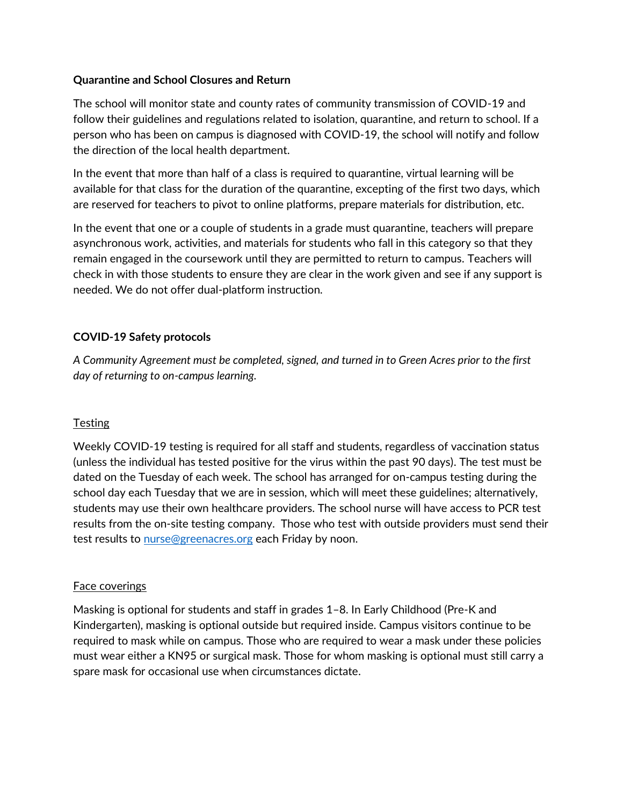### **Quarantine and School Closures and Return**

The school will monitor state and county rates of community transmission of COVID-19 and follow their guidelines and regulations related to isolation, quarantine, and return to school. If a person who has been on campus is diagnosed with COVID-19, the school will notify and follow the direction of the local health department.

In the event that more than half of a class is required to quarantine, virtual learning will be available for that class for the duration of the quarantine, excepting of the first two days, which are reserved for teachers to pivot to online platforms, prepare materials for distribution, etc.

In the event that one or a couple of students in a grade must quarantine, teachers will prepare asynchronous work, activities, and materials for students who fall in this category so that they remain engaged in the coursework until they are permitted to return to campus. Teachers will check in with those students to ensure they are clear in the work given and see if any support is needed. We do not offer dual-platform instruction.

### **COVID-19 Safety protocols**

*A Community Agreement must be completed, signed, and turned in to Green Acres prior to the first day of returning to on-campus learning.*

### **Testing**

Weekly COVID-19 testing is required for all staff and students, regardless of vaccination status (unless the individual has tested positive for the virus within the past 90 days). The test must be dated on the Tuesday of each week. The school has arranged for on-campus testing during the school day each Tuesday that we are in session, which will meet these guidelines; alternatively, students may use their own healthcare providers. The school nurse will have access to PCR test results from the on-site testing company. Those who test with outside providers must send their test results to [nurse@greenacres.org](mailto:nurse@greenacres.org) each Friday by noon.

### Face coverings

Masking is optional for students and staff in grades 1–8. In Early Childhood (Pre-K and Kindergarten), masking is optional outside but required inside. Campus visitors continue to be required to mask while on campus. Those who are required to wear a mask under these policies must wear either a KN95 or surgical mask. Those for whom masking is optional must still carry a spare mask for occasional use when circumstances dictate.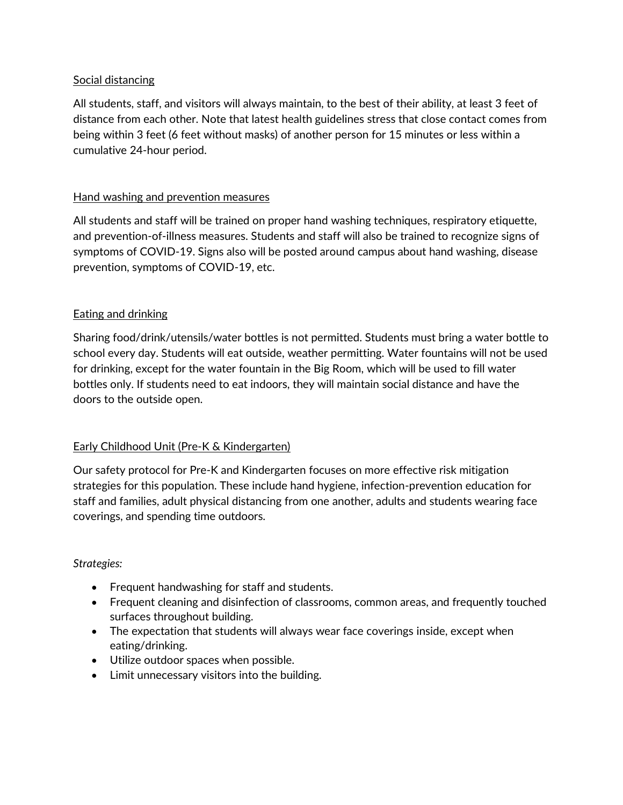### Social distancing

All students, staff, and visitors will always maintain, to the best of their ability, at least 3 feet of distance from each other. Note that latest health guidelines stress that close contact comes from being within 3 feet (6 feet without masks) of another person for 15 minutes or less within a cumulative 24-hour period.

### Hand washing and prevention measures

All students and staff will be trained on proper hand washing techniques, respiratory etiquette, and prevention-of-illness measures. Students and staff will also be trained to recognize signs of symptoms of COVID-19. Signs also will be posted around campus about hand washing, disease prevention, symptoms of COVID-19, etc.

### Eating and drinking

Sharing food/drink/utensils/water bottles is not permitted. Students must bring a water bottle to school every day. Students will eat outside, weather permitting. Water fountains will not be used for drinking, except for the water fountain in the Big Room, which will be used to fill water bottles only. If students need to eat indoors, they will maintain social distance and have the doors to the outside open.

### Early Childhood Unit (Pre-K & Kindergarten)

Our safety protocol for Pre-K and Kindergarten focuses on more effective risk mitigation strategies for this population. These include hand hygiene, infection-prevention education for staff and families, adult physical distancing from one another, adults and students wearing face coverings, and spending time outdoors.

#### *Strategies:*

- Frequent handwashing for staff and students.
- Frequent cleaning and disinfection of classrooms, common areas, and frequently touched surfaces throughout building.
- The expectation that students will always wear face coverings inside, except when eating/drinking.
- Utilize outdoor spaces when possible.
- Limit unnecessary visitors into the building.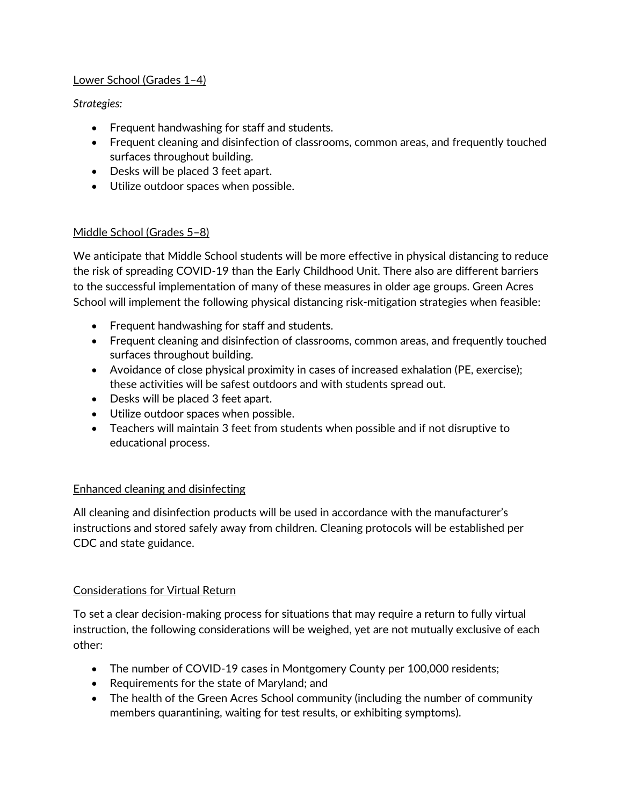### Lower School (Grades 1–4)

*Strategies:*

- Frequent handwashing for staff and students.
- Frequent cleaning and disinfection of classrooms, common areas, and frequently touched surfaces throughout building.
- Desks will be placed 3 feet apart.
- Utilize outdoor spaces when possible.

# Middle School (Grades 5–8)

We anticipate that Middle School students will be more effective in physical distancing to reduce the risk of spreading COVID-19 than the Early Childhood Unit. There also are different barriers to the successful implementation of many of these measures in older age groups. Green Acres School will implement the following physical distancing risk-mitigation strategies when feasible:

- Frequent handwashing for staff and students.
- Frequent cleaning and disinfection of classrooms, common areas, and frequently touched surfaces throughout building.
- Avoidance of close physical proximity in cases of increased exhalation (PE, exercise); these activities will be safest outdoors and with students spread out.
- Desks will be placed 3 feet apart.
- Utilize outdoor spaces when possible.
- Teachers will maintain 3 feet from students when possible and if not disruptive to educational process.

## Enhanced cleaning and disinfecting

All cleaning and disinfection products will be used in accordance with the manufacturer's instructions and stored safely away from children. Cleaning protocols will be established per CDC and state guidance.

## Considerations for Virtual Return

To set a clear decision-making process for situations that may require a return to fully virtual instruction, the following considerations will be weighed, yet are not mutually exclusive of each other:

- The number of COVID-19 cases in Montgomery County per 100,000 residents;
- Requirements for the state of Maryland; and
- The health of the Green Acres School community (including the number of community members quarantining, waiting for test results, or exhibiting symptoms).